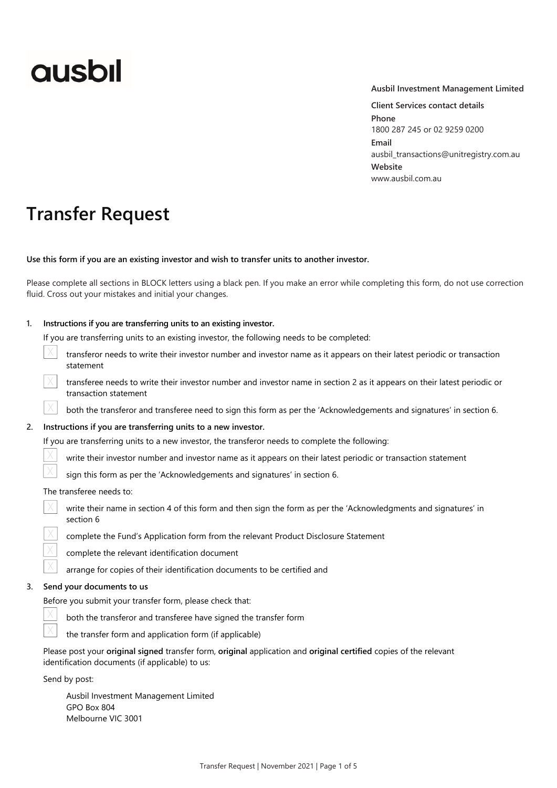# **ausbil**

#### **Ausbil Investment Management Limited**

**Client Services contact details Phone**  1800 287 245 or 02 9259 0200 **Email**  ausbil\_transactions@unitregistry.com.au **Website**  www.ausbil.com.au

## **Transfer Request**

**Use this form if you are an existing investor and wish to transfer units to another investor.** 

Please complete all sections in BLOCK letters using a black pen. If you make an error while completing this form, do not use correction fluid. Cross out your mistakes and initial your changes.

| Instructions if you are transferring units to an existing investor.<br>1. |                                                                                                                                                                       |  |  |  |
|---------------------------------------------------------------------------|-----------------------------------------------------------------------------------------------------------------------------------------------------------------------|--|--|--|
|                                                                           | If you are transferring units to an existing investor, the following needs to be completed:                                                                           |  |  |  |
|                                                                           | transferor needs to write their investor number and investor name as it appears on their latest periodic or transaction<br>statement                                  |  |  |  |
|                                                                           | transferee needs to write their investor number and investor name in section 2 as it appears on their latest periodic or<br>transaction statement                     |  |  |  |
|                                                                           | both the transferor and transferee need to sign this form as per the 'Acknowledgements and signatures' in section 6.                                                  |  |  |  |
| 2.                                                                        | Instructions if you are transferring units to a new investor.                                                                                                         |  |  |  |
|                                                                           | If you are transferring units to a new investor, the transferor needs to complete the following:                                                                      |  |  |  |
|                                                                           | write their investor number and investor name as it appears on their latest periodic or transaction statement                                                         |  |  |  |
|                                                                           | sign this form as per the 'Acknowledgements and signatures' in section 6.                                                                                             |  |  |  |
|                                                                           | The transferee needs to:                                                                                                                                              |  |  |  |
|                                                                           | write their name in section 4 of this form and then sign the form as per the 'Acknowledgments and signatures' in<br>section 6                                         |  |  |  |
|                                                                           | complete the Fund's Application form from the relevant Product Disclosure Statement                                                                                   |  |  |  |
|                                                                           | complete the relevant identification document                                                                                                                         |  |  |  |
|                                                                           | arrange for copies of their identification documents to be certified and                                                                                              |  |  |  |
| 3.                                                                        | Send your documents to us                                                                                                                                             |  |  |  |
|                                                                           | Before you submit your transfer form, please check that:                                                                                                              |  |  |  |
|                                                                           | both the transferor and transferee have signed the transfer form                                                                                                      |  |  |  |
|                                                                           | the transfer form and application form (if applicable)                                                                                                                |  |  |  |
|                                                                           | Please post your original signed transfer form, original application and original certified copies of the relevant<br>identification documents (if applicable) to us: |  |  |  |
| Send by post:                                                             |                                                                                                                                                                       |  |  |  |

Ausbil Investment Management Limited GPO Box 804 Melbourne VIC 3001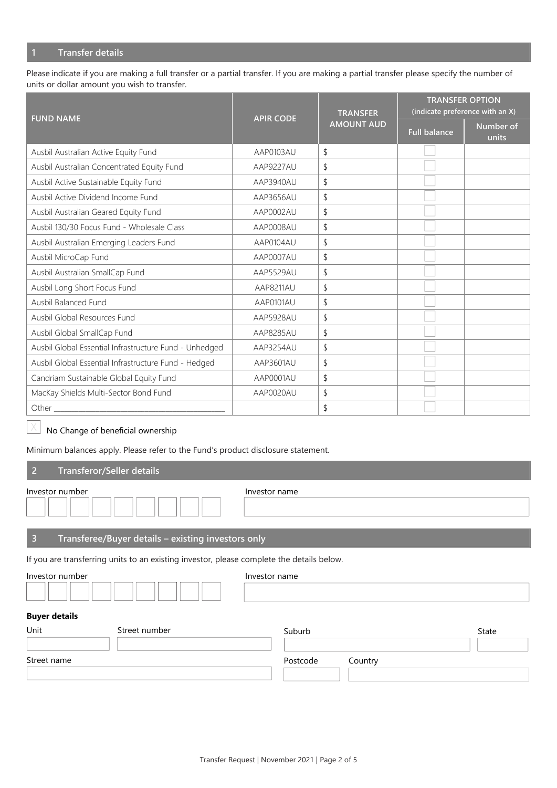### **1 Transfer details**

Please indicate if you are making a full transfer or a partial transfer. If you are making a partial transfer please specify the number of units or dollar amount you wish to transfer.

| <b>FUND NAME</b>                                       | <b>APIR CODE</b> | <b>TRANSFER</b>   | <b>TRANSFER OPTION</b><br>(indicate preference with an X) |                    |  |
|--------------------------------------------------------|------------------|-------------------|-----------------------------------------------------------|--------------------|--|
|                                                        |                  | <b>AMOUNT AUD</b> | <b>Full balance</b>                                       | Number of<br>units |  |
| Ausbil Australian Active Equity Fund                   | AAP0103AU        | \$                |                                                           |                    |  |
| Ausbil Australian Concentrated Equity Fund             | AAP9227AU        | \$                |                                                           |                    |  |
| Ausbil Active Sustainable Equity Fund                  | AAP3940AU        | \$                |                                                           |                    |  |
| Ausbil Active Dividend Income Fund                     | AAP3656AU        | \$                |                                                           |                    |  |
| Ausbil Australian Geared Equity Fund                   | AAP0002AU        | \$                |                                                           |                    |  |
| Ausbil 130/30 Focus Fund - Wholesale Class             | AAP0008AU        | \$                |                                                           |                    |  |
| Ausbil Australian Emerging Leaders Fund                | AAP0104AU        | \$                |                                                           |                    |  |
| Ausbil MicroCap Fund                                   | AAP0007AU        | \$                |                                                           |                    |  |
| Ausbil Australian SmallCap Fund                        | AAP5529AU        | \$                |                                                           |                    |  |
| Ausbil Long Short Focus Fund                           | AAP8211AU        | \$                |                                                           |                    |  |
| Ausbil Balanced Fund                                   | AAP0101AU        | \$                |                                                           |                    |  |
| Ausbil Global Resources Fund                           | AAP5928AU        | \$                |                                                           |                    |  |
| Ausbil Global SmallCap Fund                            | AAP8285AU        | \$                |                                                           |                    |  |
| Ausbil Global Essential Infrastructure Fund - Unhedged | AAP3254AU        | \$                |                                                           |                    |  |
| Ausbil Global Essential Infrastructure Fund - Hedged   | AAP3601AU        | \$                |                                                           |                    |  |
| Candriam Sustainable Global Equity Fund                | AAP0001AU        | \$                |                                                           |                    |  |
| MacKay Shields Multi-Sector Bond Fund                  | AAP0020AU        | \$                |                                                           |                    |  |
| Other                                                  |                  | \$                |                                                           |                    |  |

#### No Change of beneficial ownership X

Minimum balances apply. Please refer to the Fund's product disclosure statement.

#### **2 Transferor/Seller details**

| Investor number                                                                           | Investor name |  |  |  |
|-------------------------------------------------------------------------------------------|---------------|--|--|--|
| Transferee/Buyer details - existing investors only<br>-3                                  |               |  |  |  |
| If you are transferring units to an existing investor, please complete the details below. |               |  |  |  |
| Investor number                                                                           | Investor name |  |  |  |

#### **Buyer details**

| Unit<br>Street number |  | Suburb   | State   |  |
|-----------------------|--|----------|---------|--|
|                       |  |          |         |  |
| Street name           |  | Postcode | Country |  |
|                       |  |          |         |  |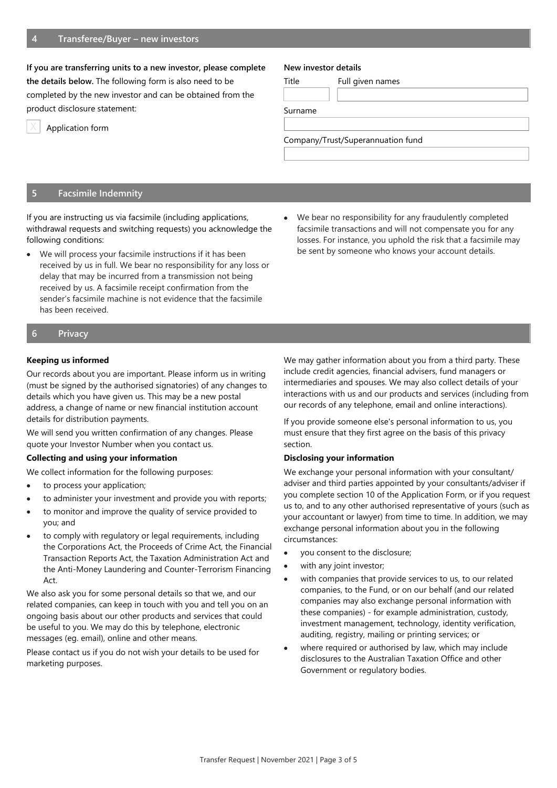#### **If you are transferring units to a new investor, please complete**

**the details below.** The following form is also need to be completed by the new investor and can be obtained from the product disclosure statement:



Application form

#### **New investor details**

Title Full given names

Surname

Company/Trust/Superannuation fund

#### **5 Facsimile Indemnity**

If you are instructing us via facsimile (including applications, withdrawal requests and switching requests) you acknowledge the following conditions:

- We will process your facsimile instructions if it has been received by us in full. We bear no responsibility for any loss or delay that may be incurred from a transmission not being received by us. A facsimile receipt confirmation from the sender's facsimile machine is not evidence that the facsimile has been received.
- We bear no responsibility for any fraudulently completed facsimile transactions and will not compensate you for any losses. For instance, you uphold the risk that a facsimile may be sent by someone who knows your account details.

#### **6 Privacy**

#### **Keeping us informed**

Our records about you are important. Please inform us in writing (must be signed by the authorised signatories) of any changes to details which you have given us. This may be a new postal address, a change of name or new financial institution account details for distribution payments.

We will send you written confirmation of any changes. Please quote your Investor Number when you contact us.

#### **Collecting and using your information**

We collect information for the following purposes:

- to process your application;
- to administer your investment and provide you with reports;
- to monitor and improve the quality of service provided to you; and
- to comply with regulatory or legal requirements, including the Corporations Act, the Proceeds of Crime Act, the Financial Transaction Reports Act, the Taxation Administration Act and the Anti-Money Laundering and Counter-Terrorism Financing Act.

We also ask you for some personal details so that we, and our related companies, can keep in touch with you and tell you on an ongoing basis about our other products and services that could be useful to you. We may do this by telephone, electronic messages (eg. email), online and other means.

Please contact us if you do not wish your details to be used for marketing purposes.

We may gather information about you from a third party. These include credit agencies, financial advisers, fund managers or intermediaries and spouses. We may also collect details of your interactions with us and our products and services (including from our records of any telephone, email and online interactions).

If you provide someone else's personal information to us, you must ensure that they first agree on the basis of this privacy section.

#### **Disclosing your information**

We exchange your personal information with your consultant/ adviser and third parties appointed by your consultants/adviser if you complete section 10 of the Application Form, or if you request us to, and to any other authorised representative of yours (such as your accountant or lawyer) from time to time. In addition, we may exchange personal information about you in the following circumstances:

- you consent to the disclosure;
- with any joint investor;
- with companies that provide services to us, to our related companies, to the Fund, or on our behalf (and our related companies may also exchange personal information with these companies) - for example administration, custody, investment management, technology, identity verification, auditing, registry, mailing or printing services; or
- where required or authorised by law, which may include disclosures to the Australian Taxation Office and other Government or regulatory bodies.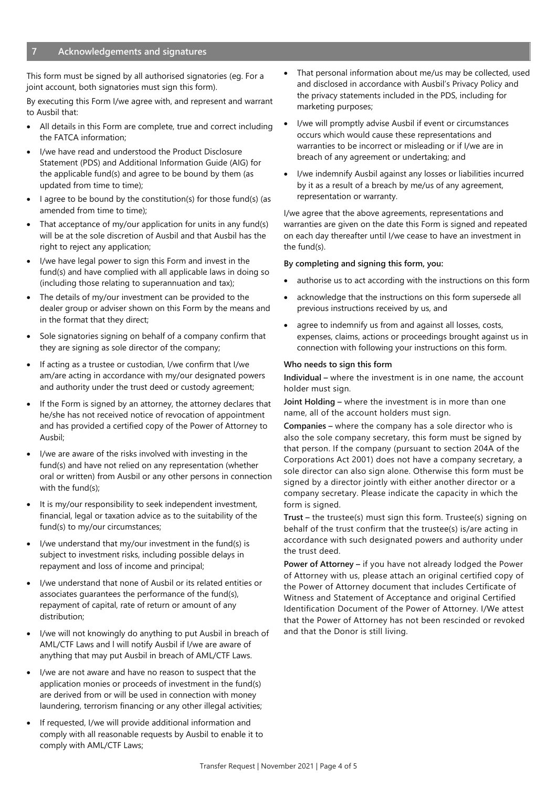This form must be signed by all authorised signatories (eg. For a joint account, both signatories must sign this form).

By executing this Form I/we agree with, and represent and warrant to Ausbil that:

- All details in this Form are complete, true and correct including the FATCA information;
- I/we have read and understood the Product Disclosure Statement (PDS) and Additional Information Guide (AIG) for the applicable fund(s) and agree to be bound by them (as updated from time to time);
- I agree to be bound by the constitution(s) for those fund(s) (as amended from time to time);
- That acceptance of my/our application for units in any fund(s) will be at the sole discretion of Ausbil and that Ausbil has the right to reject any application;
- I/we have legal power to sign this Form and invest in the fund(s) and have complied with all applicable laws in doing so (including those relating to superannuation and tax);
- The details of my/our investment can be provided to the dealer group or adviser shown on this Form by the means and in the format that they direct;
- Sole signatories signing on behalf of a company confirm that they are signing as sole director of the company;
- If acting as a trustee or custodian, I/we confirm that I/we am/are acting in accordance with my/our designated powers and authority under the trust deed or custody agreement;
- If the Form is signed by an attorney, the attorney declares that he/she has not received notice of revocation of appointment and has provided a certified copy of the Power of Attorney to Ausbil;
- I/we are aware of the risks involved with investing in the fund(s) and have not relied on any representation (whether oral or written) from Ausbil or any other persons in connection with the fund(s);
- It is my/our responsibility to seek independent investment, financial, legal or taxation advice as to the suitability of the fund(s) to my/our circumstances;
- I/we understand that my/our investment in the fund(s) is subject to investment risks, including possible delays in repayment and loss of income and principal;
- I/we understand that none of Ausbil or its related entities or associates guarantees the performance of the fund(s), repayment of capital, rate of return or amount of any distribution;
- I/we will not knowingly do anything to put Ausbil in breach of AML/CTF Laws and l will notify Ausbil if I/we are aware of anything that may put Ausbil in breach of AML/CTF Laws.
- I/we are not aware and have no reason to suspect that the application monies or proceeds of investment in the fund(s) are derived from or will be used in connection with money laundering, terrorism financing or any other illegal activities;
- If requested, I/we will provide additional information and comply with all reasonable requests by Ausbil to enable it to comply with AML/CTF Laws;
- That personal information about me/us may be collected, used and disclosed in accordance with Ausbil's Privacy Policy and the privacy statements included in the PDS, including for marketing purposes;
- I/we will promptly advise Ausbil if event or circumstances occurs which would cause these representations and warranties to be incorrect or misleading or if I/we are in breach of any agreement or undertaking; and
- I/we indemnify Ausbil against any losses or liabilities incurred by it as a result of a breach by me/us of any agreement, representation or warranty.

I/we agree that the above agreements, representations and warranties are given on the date this Form is signed and repeated on each day thereafter until I/we cease to have an investment in the fund(s).

#### **By completing and signing this form, you:**

- authorise us to act according with the instructions on this form
- acknowledge that the instructions on this form supersede all previous instructions received by us, and
- agree to indemnify us from and against all losses, costs, expenses, claims, actions or proceedings brought against us in connection with following your instructions on this form.

#### **Who needs to sign this form**

**Individual –** where the investment is in one name, the account holder must sign.

**Joint Holding –** where the investment is in more than one name, all of the account holders must sign.

**Companies –** where the company has a sole director who is also the sole company secretary, this form must be signed by that person. If the company (pursuant to section 204A of the Corporations Act 2001) does not have a company secretary, a sole director can also sign alone. Otherwise this form must be signed by a director jointly with either another director or a company secretary. Please indicate the capacity in which the form is signed.

**Trust –** the trustee(s) must sign this form. Trustee(s) signing on behalf of the trust confirm that the trustee(s) is/are acting in accordance with such designated powers and authority under the trust deed.

**Power of Attorney –** if you have not already lodged the Power of Attorney with us, please attach an original certified copy of the Power of Attorney document that includes Certificate of Witness and Statement of Acceptance and original Certified Identification Document of the Power of Attorney. I/We attest that the Power of Attorney has not been rescinded or revoked and that the Donor is still living.